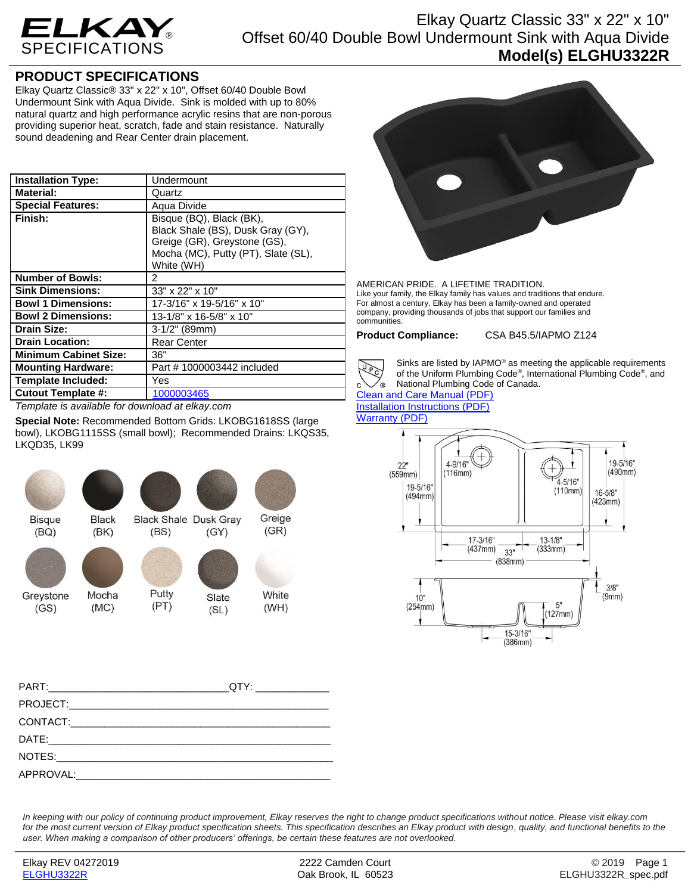

## Elkay Quartz Classic 33" x 22" x 10" Offset 60/40 Double Bowl Undermount Sink with Aqua Divide **Model(s) ELGHU3322R**

## **PRODUCT SPECIFICATIONS**

Elkay Quartz Classic® 33" x 22" x 10", Offset 60/40 Double Bowl Undermount Sink with Aqua Divide. Sink is molded with up to 80% natural quartz and high performance acrylic resins that are non-porous providing superior heat, scratch, fade and stain resistance. Naturally sound deadening and Rear Center drain placement.

| <b>Installation Type:</b>    | Undermount                                                                                                                                         |
|------------------------------|----------------------------------------------------------------------------------------------------------------------------------------------------|
| <b>Material:</b>             | Quartz                                                                                                                                             |
| <b>Special Features:</b>     | Aqua Divide                                                                                                                                        |
| Finish:                      | Bisque (BQ), Black (BK),<br>Black Shale (BS), Dusk Gray (GY),<br>Greige (GR), Greystone (GS),<br>Mocha (MC), Putty (PT), Slate (SL),<br>White (WH) |
| <b>Number of Bowls:</b>      | 2                                                                                                                                                  |
| <b>Sink Dimensions:</b>      | 33" x 22" x 10"                                                                                                                                    |
| <b>Bowl 1 Dimensions:</b>    | 17-3/16" x 19-5/16" x 10"                                                                                                                          |
| <b>Bowl 2 Dimensions:</b>    | 13-1/8" x 16-5/8" x 10"                                                                                                                            |
| Drain Size:                  | $3-1/2$ " (89mm)                                                                                                                                   |
| <b>Drain Location:</b>       | <b>Rear Center</b>                                                                                                                                 |
| <b>Minimum Cabinet Size:</b> | 36"                                                                                                                                                |
| <b>Mounting Hardware:</b>    | Part #1000003442 included                                                                                                                          |
| <b>Template Included:</b>    | Yes                                                                                                                                                |
| <b>Cutout Template #:</b>    | 1000003465                                                                                                                                         |

*Template is available for download at elkay.com*

**Special Note:** Recommended Bottom Grids: LKOBG1618SS (large bowl), LKOBG1115SS (small bowl); Recommended Drains: LKQS35, LKQD35, LK99



| QTY:_______________ |
|---------------------|
|                     |
|                     |
|                     |
|                     |
|                     |
|                     |

AMERICAN PRIDE. A LIFETIME TRADITION. Like your family, the Elkay family has values and traditions that endure. For almost a century, Elkay has been a family-owned and operated company, providing thousands of jobs that support our families and communities.

**Product Compliance:** CSA B45.5/IAPMO Z124



Sinks are listed by IAPMO® as meeting the applicable requirements of the Uniform Plumbing Code® , International Plumbing Code® , and National Plumbing Code of Canada.

[Clean and Care Manual \(PDF\)](http://www.elkay.com/wcsstore/lkdocs/care-cleaning-install-warranty-sheets/residential%20and%20commercial%20care%20%20cleaning.pdf) [Installation Instructions \(PDF\)](http://www.elkay.com/wcsstore/lkdocs/care-cleaning-install-warranty-sheets/0000000217.pdf) [Warranty](http://www.elkay.com/wcsstore/lkdocs/care-cleaning-install-warranty-sheets/quartz%20sinks%20warranty.pdf) (PDF)



*In keeping with our policy of continuing product improvement, Elkay reserves the right to change product specifications without notice. Please visit elkay.com for the most current version of Elkay product specification sheets. This specification describes an Elkay product with design, quality, and functional benefits to the user. When making a comparison of other producers' offerings, be certain these features are not overlooked.*